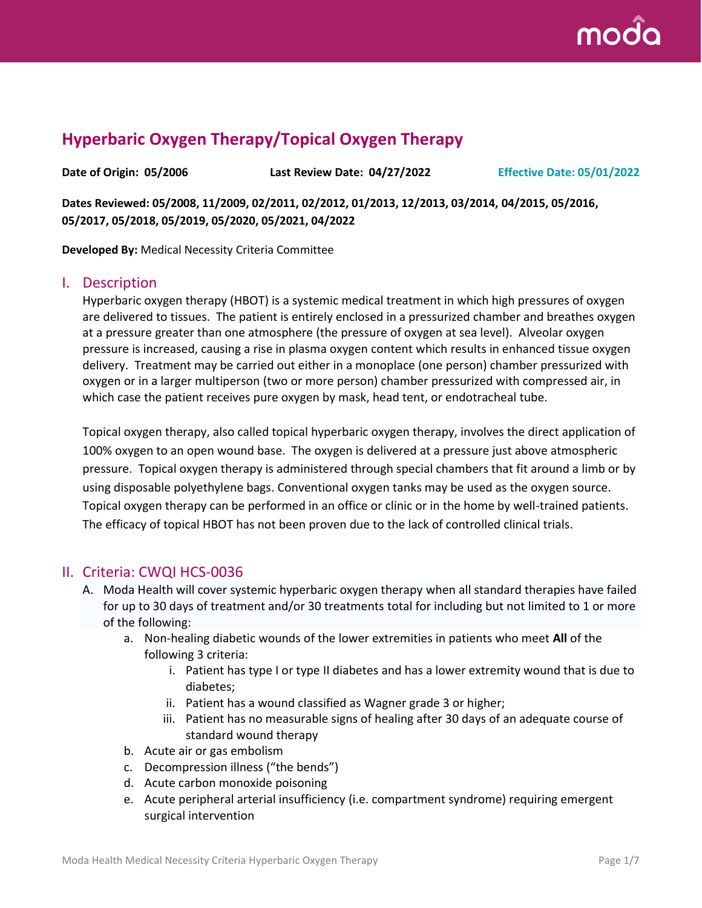

# **Hyperbaric Oxygen Therapy/Topical Oxygen Therapy**

**Date of Origin: 05/2006 Last Review Date: 04/27/2022 Effective Date: 05/01/2022**

**Dates Reviewed: 05/2008, 11/2009, 02/2011, 02/2012, 01/2013, 12/2013, 03/2014, 04/2015, 05/2016, 05/2017, 05/2018, 05/2019, 05/2020, 05/2021, 04/2022**

**Developed By:** Medical Necessity Criteria Committee

### I. Description

Hyperbaric oxygen therapy (HBOT) is a systemic medical treatment in which high pressures of oxygen are delivered to tissues. The patient is entirely enclosed in a pressurized chamber and breathes oxygen at a pressure greater than one atmosphere (the pressure of oxygen at sea level). Alveolar oxygen pressure is increased, causing a rise in plasma oxygen content which results in enhanced tissue oxygen delivery. Treatment may be carried out either in a monoplace (one person) chamber pressurized with oxygen or in a larger multiperson (two or more person) chamber pressurized with compressed air, in which case the patient receives pure oxygen by mask, head tent, or endotracheal tube.

Topical oxygen therapy, also called topical hyperbaric oxygen therapy, involves the direct application of 100% oxygen to an open wound base. The oxygen is delivered at a pressure just above atmospheric pressure. Topical oxygen therapy is administered through special chambers that fit around a limb or by using disposable polyethylene bags. Conventional oxygen tanks may be used as the oxygen source. Topical oxygen therapy can be performed in an office or clinic or in the home by well-trained patients. The efficacy of topical HBOT has not been proven due to the lack of controlled clinical trials.

### II. Criteria: CWQI HCS-0036

- A. Moda Health will cover systemic hyperbaric oxygen therapy when all standard therapies have failed for up to 30 days of treatment and/or 30 treatments total for including but not limited to 1 or more of the following:
	- a. Non-healing diabetic wounds of the lower extremities in patients who meet **All** of the following 3 criteria:
		- i. Patient has type I or type II diabetes and has a lower extremity wound that is due to diabetes;
		- ii. Patient has a wound classified as Wagner grade 3 or higher;
		- iii. Patient has no measurable signs of healing after 30 days of an adequate course of standard wound therapy
	- b. Acute air or gas embolism
	- c. Decompression illness ("the bends")
	- d. Acute carbon monoxide poisoning
	- e. Acute peripheral arterial insufficiency (i.e. compartment syndrome) requiring emergent surgical intervention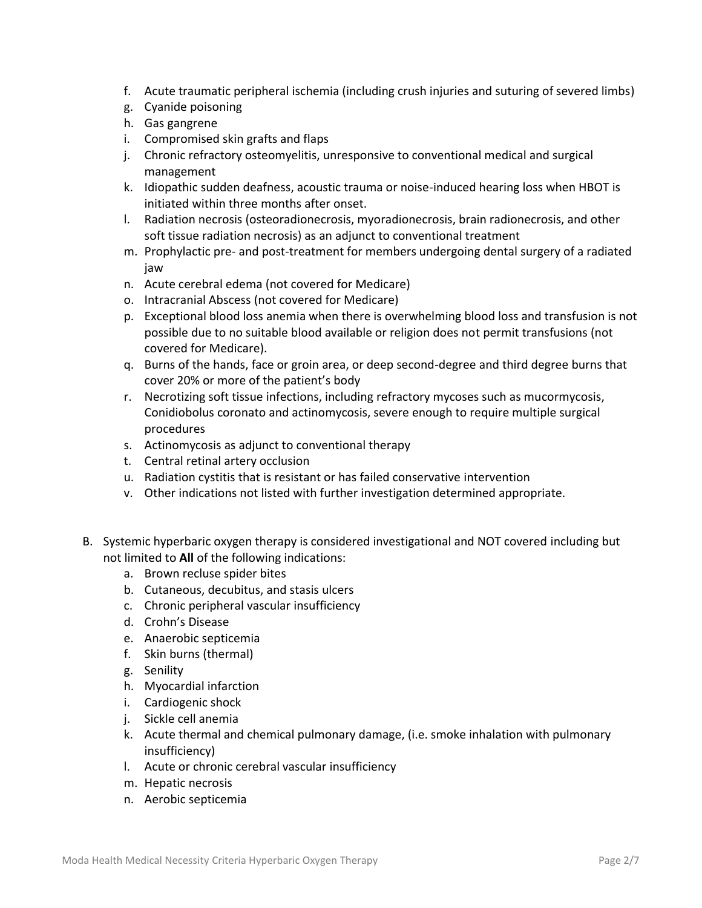- f. Acute traumatic peripheral ischemia (including crush injuries and suturing of severed limbs)
- g. Cyanide poisoning
- h. Gas gangrene
- i. Compromised skin grafts and flaps
- j. Chronic refractory osteomyelitis, unresponsive to conventional medical and surgical management
- k. Idiopathic sudden deafness, acoustic trauma or noise-induced hearing loss when HBOT is initiated within three months after onset.
- l. Radiation necrosis (osteoradionecrosis, myoradionecrosis, brain radionecrosis, and other soft tissue radiation necrosis) as an adjunct to conventional treatment
- m. Prophylactic pre- and post-treatment for members undergoing dental surgery of a radiated jaw
- n. Acute cerebral edema (not covered for Medicare)
- o. Intracranial Abscess (not covered for Medicare)
- p. Exceptional blood loss anemia when there is overwhelming blood loss and transfusion is not possible due to no suitable blood available or religion does not permit transfusions (not covered for Medicare).
- q. Burns of the hands, face or groin area, or deep second-degree and third degree burns that cover 20% or more of the patient's body
- r. Necrotizing soft tissue infections, including refractory mycoses such as mucormycosis, Conidiobolus coronato and actinomycosis, severe enough to require multiple surgical procedures
- s. Actinomycosis as adjunct to conventional therapy
- t. Central retinal artery occlusion
- u. Radiation cystitis that is resistant or has failed conservative intervention
- v. Other indications not listed with further investigation determined appropriate.
- B. Systemic hyperbaric oxygen therapy is considered investigational and NOT covered including but not limited to **All** of the following indications:
	- a. Brown recluse spider bites
	- b. Cutaneous, decubitus, and stasis ulcers
	- c. Chronic peripheral vascular insufficiency
	- d. Crohn's Disease
	- e. Anaerobic septicemia
	- f. Skin burns (thermal)
	- g. Senility
	- h. Myocardial infarction
	- i. Cardiogenic shock
	- j. Sickle cell anemia
	- k. Acute thermal and chemical pulmonary damage, (i.e. smoke inhalation with pulmonary insufficiency)
	- l. Acute or chronic cerebral vascular insufficiency
	- m. Hepatic necrosis
	- n. Aerobic septicemia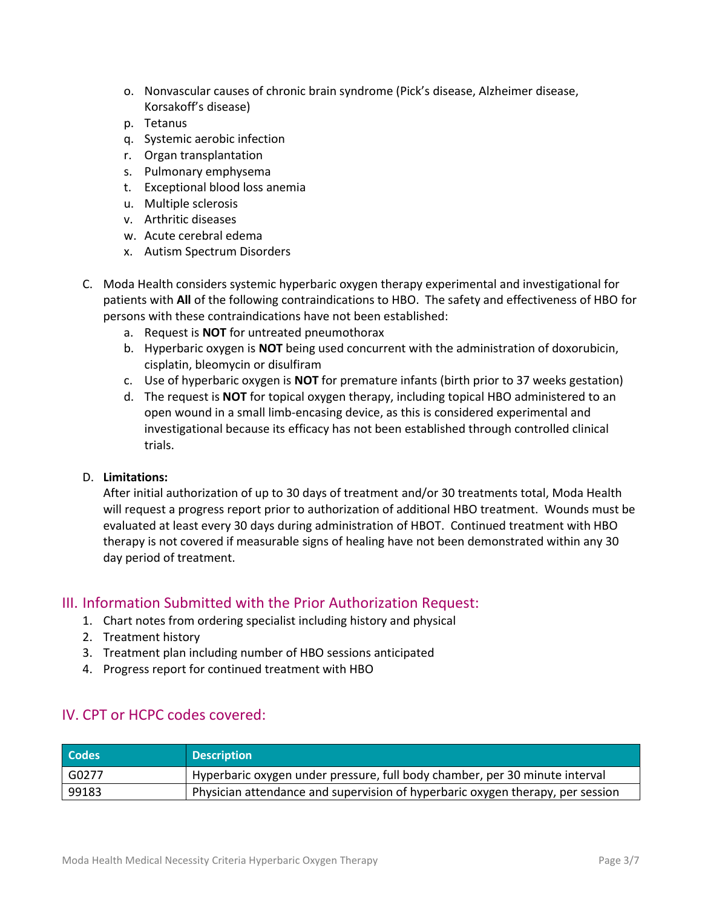- o. Nonvascular causes of chronic brain syndrome (Pick's disease, Alzheimer disease, Korsakoff's disease)
- p. Tetanus
- q. Systemic aerobic infection
- r. Organ transplantation
- s. Pulmonary emphysema
- t. Exceptional blood loss anemia
- u. Multiple sclerosis
- v. Arthritic diseases
- w. Acute cerebral edema
- x. Autism Spectrum Disorders
- C. Moda Health considers systemic hyperbaric oxygen therapy experimental and investigational for patients with **All** of the following contraindications to HBO. The safety and effectiveness of HBO for persons with these contraindications have not been established:
	- a. Request is **NOT** for untreated pneumothorax
	- b. Hyperbaric oxygen is **NOT** being used concurrent with the administration of doxorubicin, cisplatin, bleomycin or disulfiram
	- c. Use of hyperbaric oxygen is **NOT** for premature infants (birth prior to 37 weeks gestation)
	- d. The request is **NOT** for topical oxygen therapy, including topical HBO administered to an open wound in a small limb-encasing device, as this is considered experimental and investigational because its efficacy has not been established through controlled clinical trials.

#### D. **Limitations:**

After initial authorization of up to 30 days of treatment and/or 30 treatments total, Moda Health will request a progress report prior to authorization of additional HBO treatment. Wounds must be evaluated at least every 30 days during administration of HBOT. Continued treatment with HBO therapy is not covered if measurable signs of healing have not been demonstrated within any 30 day period of treatment.

### III. Information Submitted with the Prior Authorization Request:

- 1. Chart notes from ordering specialist including history and physical
- 2. Treatment history
- 3. Treatment plan including number of HBO sessions anticipated
- 4. Progress report for continued treatment with HBO

### IV. CPT or HCPC codes covered:

| <b>Codes</b> | <b>Description</b>                                                             |
|--------------|--------------------------------------------------------------------------------|
| l G0277      | Hyperbaric oxygen under pressure, full body chamber, per 30 minute interval    |
| 99183        | Physician attendance and supervision of hyperbaric oxygen therapy, per session |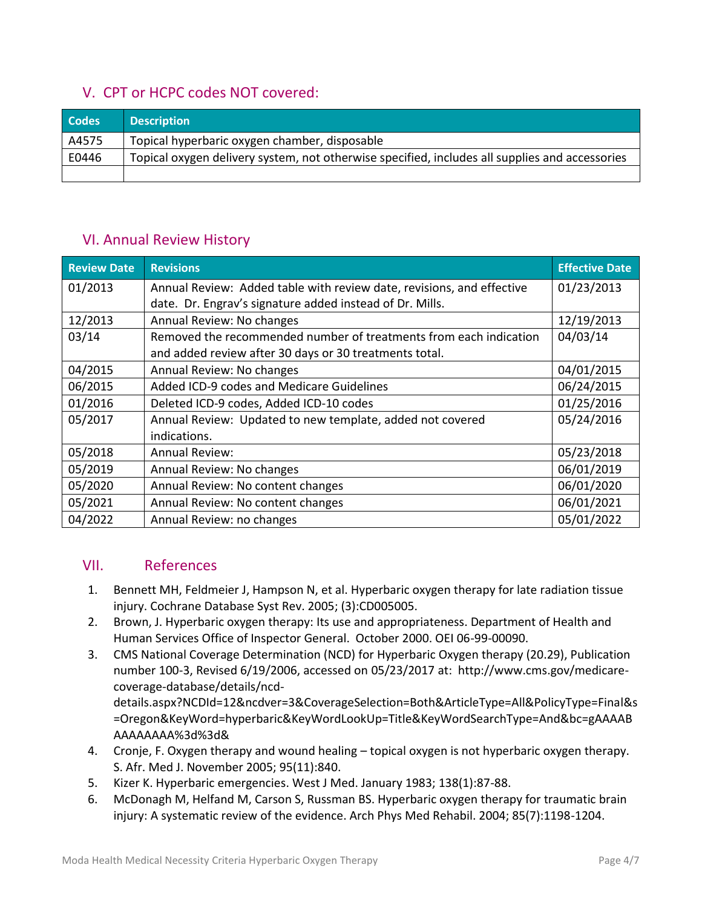# V. CPT or HCPC codes NOT covered:

| <b>Codes</b> | <b>Description</b>                                                                             |
|--------------|------------------------------------------------------------------------------------------------|
| A4575        | Topical hyperbaric oxygen chamber, disposable                                                  |
| E0446        | Topical oxygen delivery system, not otherwise specified, includes all supplies and accessories |
|              |                                                                                                |

## VI. Annual Review History

| <b>Review Date</b> | <b>Revisions</b>                                                      | <b>Effective Date</b> |
|--------------------|-----------------------------------------------------------------------|-----------------------|
| 01/2013            | Annual Review: Added table with review date, revisions, and effective | 01/23/2013            |
|                    | date. Dr. Engrav's signature added instead of Dr. Mills.              |                       |
| 12/2013            | Annual Review: No changes                                             | 12/19/2013            |
| 03/14              | Removed the recommended number of treatments from each indication     | 04/03/14              |
|                    | and added review after 30 days or 30 treatments total.                |                       |
| 04/2015            | Annual Review: No changes                                             | 04/01/2015            |
| 06/2015            | Added ICD-9 codes and Medicare Guidelines                             | 06/24/2015            |
| 01/2016            | Deleted ICD-9 codes, Added ICD-10 codes                               | 01/25/2016            |
| 05/2017            | Annual Review: Updated to new template, added not covered             | 05/24/2016            |
|                    | indications.                                                          |                       |
| 05/2018            | <b>Annual Review:</b>                                                 | 05/23/2018            |
| 05/2019            | Annual Review: No changes                                             | 06/01/2019            |
| 05/2020            | Annual Review: No content changes                                     | 06/01/2020            |
| 05/2021            | Annual Review: No content changes                                     | 06/01/2021            |
| 04/2022            | Annual Review: no changes                                             | 05/01/2022            |

## VII. References

- 1. Bennett MH, Feldmeier J, Hampson N, et al. Hyperbaric oxygen therapy for late radiation tissue injury. Cochrane Database Syst Rev. 2005; (3):CD005005.
- 2. Brown, J. Hyperbaric oxygen therapy: Its use and appropriateness. Department of Health and Human Services Office of Inspector General. October 2000. OEI 06-99-00090.
- 3. CMS National Coverage Determination (NCD) for Hyperbaric Oxygen therapy (20.29), Publication number 100-3, Revised 6/19/2006, accessed on 05/23/2017 at: http://www.cms.gov/medicarecoverage-database/details/ncddetails.aspx?NCDId=12&ncdver=3&CoverageSelection=Both&ArticleType=All&PolicyType=Final&s

=Oregon&KeyWord=hyperbaric&KeyWordLookUp=Title&KeyWordSearchType=And&bc=gAAAAB AAAAAAAA%3d%3d&

- 4. Cronje, F. Oxygen therapy and wound healing topical oxygen is not hyperbaric oxygen therapy. S. Afr. Med J. November 2005; 95(11):840.
- 5. Kizer K. Hyperbaric emergencies. West J Med. January 1983; 138(1):87-88.
- 6. McDonagh M, Helfand M, Carson S, Russman BS. Hyperbaric oxygen therapy for traumatic brain injury: A systematic review of the evidence. Arch Phys Med Rehabil. 2004; 85(7):1198-1204.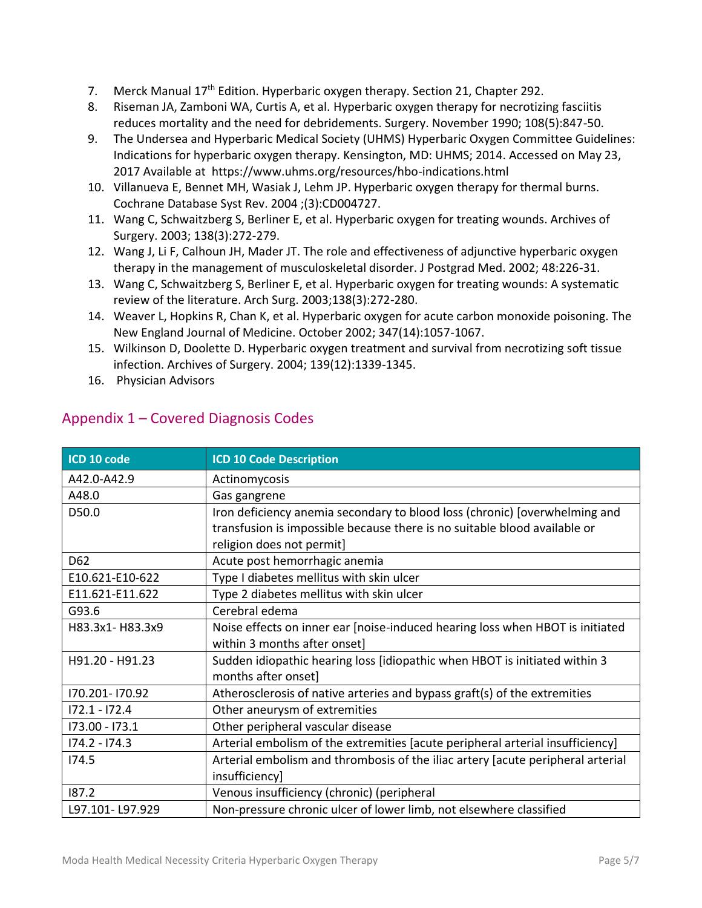- 7. Merck Manual 17<sup>th</sup> Edition. Hyperbaric oxygen therapy. Section 21, Chapter 292.
- 8. Riseman JA, Zamboni WA, Curtis A, et al. Hyperbaric oxygen therapy for necrotizing fasciitis reduces mortality and the need for debridements. Surgery. November 1990; 108(5):847-50.
- 9. The Undersea and Hyperbaric Medical Society (UHMS) Hyperbaric Oxygen Committee Guidelines: Indications for hyperbaric oxygen therapy. Kensington, MD: UHMS; 2014. Accessed on May 23, 2017 Available at https://www.uhms.org/resources/hbo-indications.html
- 10. Villanueva E, Bennet MH, Wasiak J, Lehm JP. Hyperbaric oxygen therapy for thermal burns. Cochrane Database Syst Rev. 2004 ;(3):CD004727.
- 11. Wang C, Schwaitzberg S, Berliner E, et al. Hyperbaric oxygen for treating wounds. Archives of Surgery. 2003; 138(3):272-279.
- 12. Wang J, Li F, Calhoun JH, Mader JT. The role and effectiveness of adjunctive hyperbaric oxygen therapy in the management of musculoskeletal disorder. J Postgrad Med. 2002; 48:226-31.
- 13. Wang C, Schwaitzberg S, Berliner E, et al. Hyperbaric oxygen for treating wounds: A systematic review of the literature. Arch Surg. 2003;138(3):272-280.
- 14. Weaver L, Hopkins R, Chan K, et al. Hyperbaric oxygen for acute carbon monoxide poisoning. The New England Journal of Medicine. October 2002; 347(14):1057-1067.
- 15. Wilkinson D, Doolette D. Hyperbaric oxygen treatment and survival from necrotizing soft tissue infection. Archives of Surgery. 2004; 139(12):1339-1345.
- 16. Physician Advisors

| ICD 10 code     | <b>ICD 10 Code Description</b>                                                  |  |
|-----------------|---------------------------------------------------------------------------------|--|
| A42.0-A42.9     | Actinomycosis                                                                   |  |
| A48.0           | Gas gangrene                                                                    |  |
| D50.0           | Iron deficiency anemia secondary to blood loss (chronic) [overwhelming and      |  |
|                 | transfusion is impossible because there is no suitable blood available or       |  |
|                 | religion does not permit]                                                       |  |
| D62             | Acute post hemorrhagic anemia                                                   |  |
| E10.621-E10-622 | Type I diabetes mellitus with skin ulcer                                        |  |
| E11.621-E11.622 | Type 2 diabetes mellitus with skin ulcer                                        |  |
| G93.6           | Cerebral edema                                                                  |  |
| H83.3x1-H83.3x9 | Noise effects on inner ear [noise-induced hearing loss when HBOT is initiated   |  |
|                 | within 3 months after onset]                                                    |  |
| H91.20 - H91.23 | Sudden idiopathic hearing loss [idiopathic when HBOT is initiated within 3      |  |
|                 | months after onset]                                                             |  |
| 170.201-170.92  | Atherosclerosis of native arteries and bypass graft(s) of the extremities       |  |
| $172.1 - 172.4$ | Other aneurysm of extremities                                                   |  |
| 173.00 - 173.1  | Other peripheral vascular disease                                               |  |
| $174.2 - 174.3$ | Arterial embolism of the extremities [acute peripheral arterial insufficiency]  |  |
| 174.5           | Arterial embolism and thrombosis of the iliac artery [acute peripheral arterial |  |
|                 | insufficiency]                                                                  |  |
| 187.2           | Venous insufficiency (chronic) (peripheral                                      |  |
| L97.101-L97.929 | Non-pressure chronic ulcer of lower limb, not elsewhere classified              |  |

## Appendix 1 – Covered Diagnosis Codes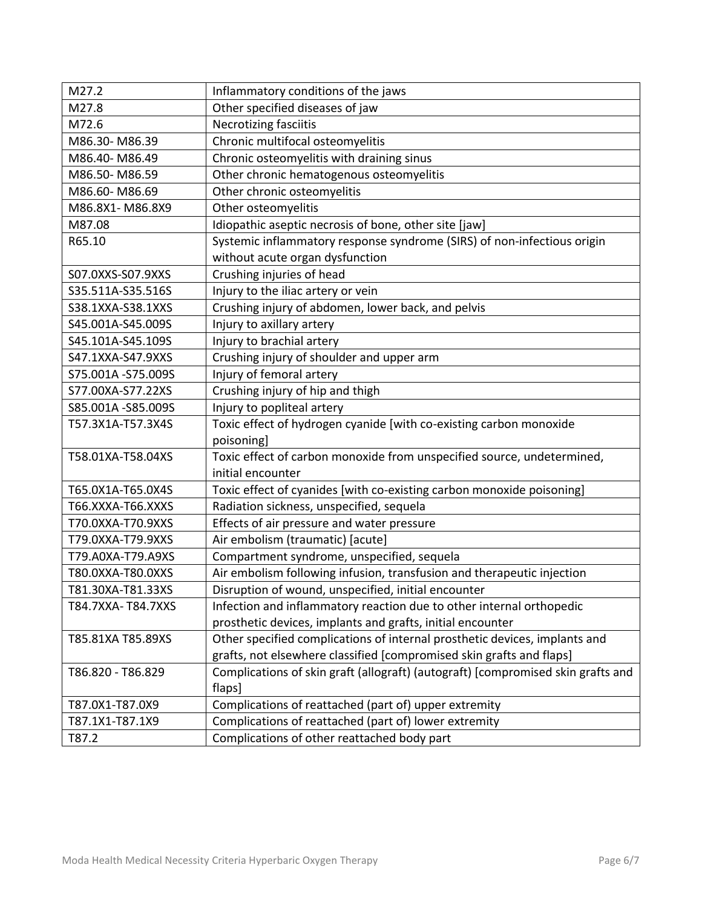| M27.2              | Inflammatory conditions of the jaws                                              |  |
|--------------------|----------------------------------------------------------------------------------|--|
| M27.8              | Other specified diseases of jaw                                                  |  |
| M72.6              | Necrotizing fasciitis                                                            |  |
| M86.30-M86.39      | Chronic multifocal osteomyelitis                                                 |  |
| M86.40-M86.49      | Chronic osteomyelitis with draining sinus                                        |  |
| M86.50-M86.59      | Other chronic hematogenous osteomyelitis                                         |  |
| M86.60-M86.69      | Other chronic osteomyelitis                                                      |  |
| M86.8X1-M86.8X9    | Other osteomyelitis                                                              |  |
| M87.08             | Idiopathic aseptic necrosis of bone, other site [jaw]                            |  |
| R65.10             | Systemic inflammatory response syndrome (SIRS) of non-infectious origin          |  |
|                    | without acute organ dysfunction                                                  |  |
| S07.0XXS-S07.9XXS  | Crushing injuries of head                                                        |  |
| S35.511A-S35.516S  | Injury to the iliac artery or vein                                               |  |
| S38.1XXA-S38.1XXS  | Crushing injury of abdomen, lower back, and pelvis                               |  |
| S45.001A-S45.009S  | Injury to axillary artery                                                        |  |
| S45.101A-S45.109S  | Injury to brachial artery                                                        |  |
| S47.1XXA-S47.9XXS  | Crushing injury of shoulder and upper arm                                        |  |
| S75.001A -S75.009S | Injury of femoral artery                                                         |  |
| S77.00XA-S77.22XS  | Crushing injury of hip and thigh                                                 |  |
| S85.001A -S85.009S | Injury to popliteal artery                                                       |  |
| T57.3X1A-T57.3X4S  | Toxic effect of hydrogen cyanide [with co-existing carbon monoxide               |  |
|                    | poisoning]                                                                       |  |
| T58.01XA-T58.04XS  | Toxic effect of carbon monoxide from unspecified source, undetermined,           |  |
|                    | initial encounter                                                                |  |
| T65.0X1A-T65.0X4S  | Toxic effect of cyanides [with co-existing carbon monoxide poisoning]            |  |
| T66.XXXA-T66.XXXS  | Radiation sickness, unspecified, sequela                                         |  |
| T70.0XXA-T70.9XXS  | Effects of air pressure and water pressure                                       |  |
| T79.0XXA-T79.9XXS  | Air embolism (traumatic) [acute]                                                 |  |
| T79.A0XA-T79.A9XS  | Compartment syndrome, unspecified, sequela                                       |  |
| T80.0XXA-T80.0XXS  | Air embolism following infusion, transfusion and therapeutic injection           |  |
| T81.30XA-T81.33XS  | Disruption of wound, unspecified, initial encounter                              |  |
| T84.7XXA-T84.7XXS  | Infection and inflammatory reaction due to other internal orthopedic             |  |
|                    | prosthetic devices, implants and grafts, initial encounter                       |  |
| T85.81XA T85.89XS  | Other specified complications of internal prosthetic devices, implants and       |  |
|                    | grafts, not elsewhere classified [compromised skin grafts and flaps]             |  |
| T86.820 - T86.829  | Complications of skin graft (allograft) (autograft) [compromised skin grafts and |  |
|                    | flaps]                                                                           |  |
| T87.0X1-T87.0X9    | Complications of reattached (part of) upper extremity                            |  |
| T87.1X1-T87.1X9    | Complications of reattached (part of) lower extremity                            |  |
| T87.2              | Complications of other reattached body part                                      |  |